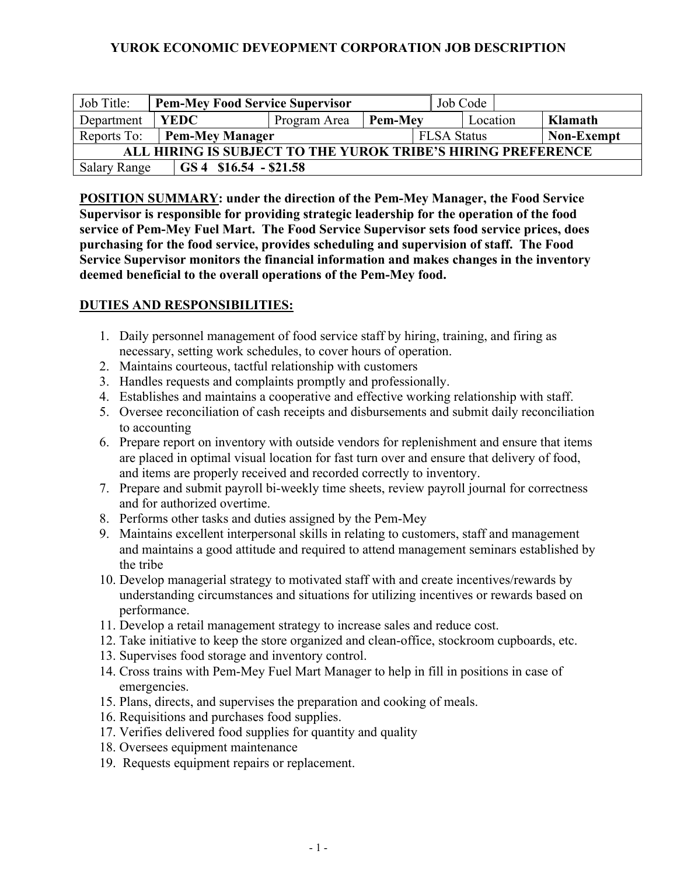# **YUROK ECONOMIC DEVEOPMENT CORPORATION JOB DESCRIPTION**

| Job Title:                                                   | <b>Pem-Mey Food Service Supervisor</b> |              |                |                    | Job Code |  |                   |  |
|--------------------------------------------------------------|----------------------------------------|--------------|----------------|--------------------|----------|--|-------------------|--|
| Department                                                   | <b>YEDC</b>                            | Program Area | <b>Pem-Mev</b> | Location           |          |  | Klamath           |  |
| Reports To:                                                  | <b>Pem-Mey Manager</b>                 |              |                | <b>FLSA Status</b> |          |  | <b>Non-Exempt</b> |  |
| ALL HIRING IS SUBJECT TO THE YUROK TRIBE'S HIRING PREFERENCE |                                        |              |                |                    |          |  |                   |  |
| <b>Salary Range</b>                                          | $GS 4$ \$16.54 - \$21.58               |              |                |                    |          |  |                   |  |

**POSITION SUMMARY: under the direction of the Pem-Mey Manager, the Food Service Supervisor is responsible for providing strategic leadership for the operation of the food service of Pem-Mey Fuel Mart. The Food Service Supervisor sets food service prices, does purchasing for the food service, provides scheduling and supervision of staff. The Food Service Supervisor monitors the financial information and makes changes in the inventory deemed beneficial to the overall operations of the Pem-Mey food.**

### **DUTIES AND RESPONSIBILITIES:**

- 1. Daily personnel management of food service staff by hiring, training, and firing as necessary, setting work schedules, to cover hours of operation.
- 2. Maintains courteous, tactful relationship with customers
- 3. Handles requests and complaints promptly and professionally.
- 4. Establishes and maintains a cooperative and effective working relationship with staff.
- 5. Oversee reconciliation of cash receipts and disbursements and submit daily reconciliation to accounting
- 6. Prepare report on inventory with outside vendors for replenishment and ensure that items are placed in optimal visual location for fast turn over and ensure that delivery of food, and items are properly received and recorded correctly to inventory.
- 7. Prepare and submit payroll bi-weekly time sheets, review payroll journal for correctness and for authorized overtime.
- 8. Performs other tasks and duties assigned by the Pem-Mey
- 9. Maintains excellent interpersonal skills in relating to customers, staff and management and maintains a good attitude and required to attend management seminars established by the tribe
- 10. Develop managerial strategy to motivated staff with and create incentives/rewards by understanding circumstances and situations for utilizing incentives or rewards based on performance.
- 11. Develop a retail management strategy to increase sales and reduce cost.
- 12. Take initiative to keep the store organized and clean-office, stockroom cupboards, etc.
- 13. Supervises food storage and inventory control.
- 14. Cross trains with Pem-Mey Fuel Mart Manager to help in fill in positions in case of emergencies.
- 15. Plans, directs, and supervises the preparation and cooking of meals.
- 16. Requisitions and purchases food supplies.
- 17. Verifies delivered food supplies for quantity and quality
- 18. Oversees equipment maintenance
- 19. Requests equipment repairs or replacement.